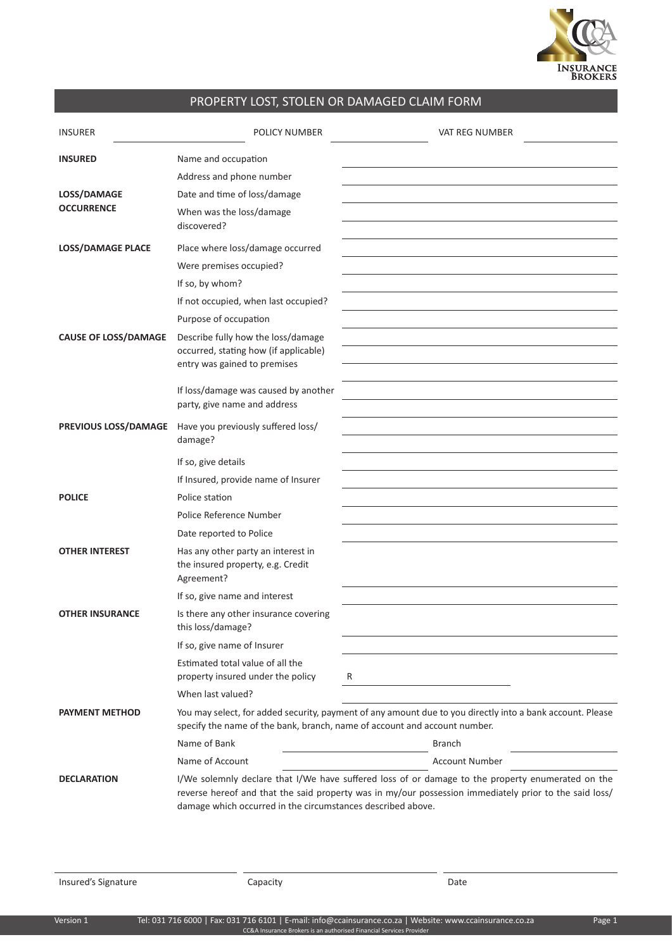

## PROPERTY LOST, STOLEN OR DAMAGED CLAIM FORM

| <b>INSURER</b>              | POLICY NUMBER                                                                                               | VAT REG NUMBER                                                                                                                                                                                              |
|-----------------------------|-------------------------------------------------------------------------------------------------------------|-------------------------------------------------------------------------------------------------------------------------------------------------------------------------------------------------------------|
| <b>INSURED</b>              | Name and occupation                                                                                         |                                                                                                                                                                                                             |
|                             | Address and phone number                                                                                    |                                                                                                                                                                                                             |
| LOSS/DAMAGE                 | Date and time of loss/damage                                                                                |                                                                                                                                                                                                             |
| <b>OCCURRENCE</b>           | When was the loss/damage<br>discovered?                                                                     |                                                                                                                                                                                                             |
| LOSS/DAMAGE PLACE           | Place where loss/damage occurred                                                                            |                                                                                                                                                                                                             |
|                             | Were premises occupied?                                                                                     |                                                                                                                                                                                                             |
|                             | If so, by whom?                                                                                             |                                                                                                                                                                                                             |
|                             | If not occupied, when last occupied?                                                                        |                                                                                                                                                                                                             |
|                             | Purpose of occupation                                                                                       |                                                                                                                                                                                                             |
| <b>CAUSE OF LOSS/DAMAGE</b> | Describe fully how the loss/damage<br>occurred, stating how (if applicable)<br>entry was gained to premises |                                                                                                                                                                                                             |
|                             | If loss/damage was caused by another<br>party, give name and address                                        |                                                                                                                                                                                                             |
| PREVIOUS LOSS/DAMAGE        | Have you previously suffered loss/<br>damage?                                                               |                                                                                                                                                                                                             |
|                             | If so, give details                                                                                         |                                                                                                                                                                                                             |
|                             | If Insured, provide name of Insurer                                                                         |                                                                                                                                                                                                             |
| <b>POLICE</b>               | Police station                                                                                              |                                                                                                                                                                                                             |
|                             | Police Reference Number                                                                                     |                                                                                                                                                                                                             |
|                             | Date reported to Police                                                                                     |                                                                                                                                                                                                             |
| <b>OTHER INTEREST</b>       | Has any other party an interest in<br>the insured property, e.g. Credit<br>Agreement?                       |                                                                                                                                                                                                             |
|                             | If so, give name and interest                                                                               |                                                                                                                                                                                                             |
| <b>OTHER INSURANCE</b>      | Is there any other insurance covering<br>this loss/damage?                                                  |                                                                                                                                                                                                             |
|                             | If so, give name of Insurer                                                                                 |                                                                                                                                                                                                             |
|                             | Estimated total value of all the<br>property insured under the policy                                       | R<br>the control of the control of the control of                                                                                                                                                           |
|                             | When last valued?                                                                                           |                                                                                                                                                                                                             |
| <b>PAYMENT METHOD</b>       | specify the name of the bank, branch, name of account and account number.                                   | You may select, for added security, payment of any amount due to you directly into a bank account. Please                                                                                                   |
|                             | Name of Bank                                                                                                | <b>Branch</b>                                                                                                                                                                                               |
|                             | Name of Account                                                                                             | Account Number                                                                                                                                                                                              |
| <b>DECLARATION</b>          | damage which occurred in the circumstances described above.                                                 | I/We solemnly declare that I/We have suffered loss of or damage to the property enumerated on the<br>reverse hereof and that the said property was in my/our possession immediately prior to the said loss/ |